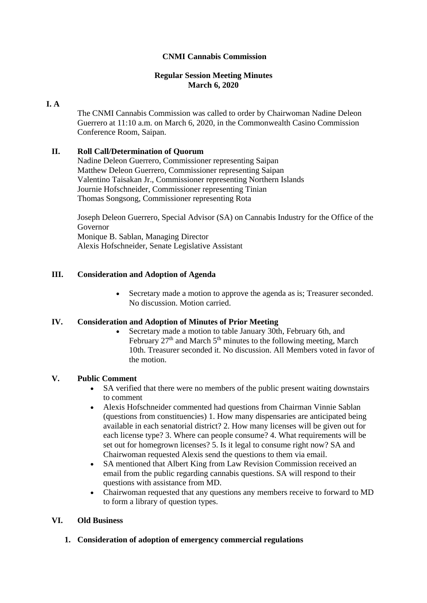## **CNMI Cannabis Commission**

#### **Regular Session Meeting Minutes March 6, 2020**

## **I. A**

The CNMI Cannabis Commission was called to order by Chairwoman Nadine Deleon Guerrero at 11:10 a.m. on March 6, 2020, in the Commonwealth Casino Commission Conference Room, Saipan.

# **II. Roll Call/Determination of Quorum**

Nadine Deleon Guerrero, Commissioner representing Saipan Matthew Deleon Guerrero, Commissioner representing Saipan Valentino Taisakan Jr., Commissioner representing Northern Islands Journie Hofschneider, Commissioner representing Tinian Thomas Songsong, Commissioner representing Rota

Joseph Deleon Guerrero, Special Advisor (SA) on Cannabis Industry for the Office of the Governor Monique B. Sablan, Managing Director Alexis Hofschneider, Senate Legislative Assistant

# **III. Consideration and Adoption of Agenda**

• Secretary made a motion to approve the agenda as is; Treasurer seconded. No discussion. Motion carried.

#### **IV. Consideration and Adoption of Minutes of Prior Meeting**

• Secretary made a motion to table January 30th, February 6th, and February  $27<sup>th</sup>$  and March  $5<sup>th</sup>$  minutes to the following meeting, March 10th. Treasurer seconded it. No discussion. All Members voted in favor of the motion.

#### **V. Public Comment**

- SA verified that there were no members of the public present waiting downstairs to comment
- Alexis Hofschneider commented had questions from Chairman Vinnie Sablan (questions from constituencies) 1. How many dispensaries are anticipated being available in each senatorial district? 2. How many licenses will be given out for each license type? 3. Where can people consume? 4. What requirements will be set out for homegrown licenses? 5. Is it legal to consume right now? SA and Chairwoman requested Alexis send the questions to them via email.
- SA mentioned that Albert King from Law Revision Commission received an email from the public regarding cannabis questions. SA will respond to their questions with assistance from MD.
- Chairwoman requested that any questions any members receive to forward to MD to form a library of question types.

## **VI. Old Business**

#### **1. Consideration of adoption of emergency commercial regulations**